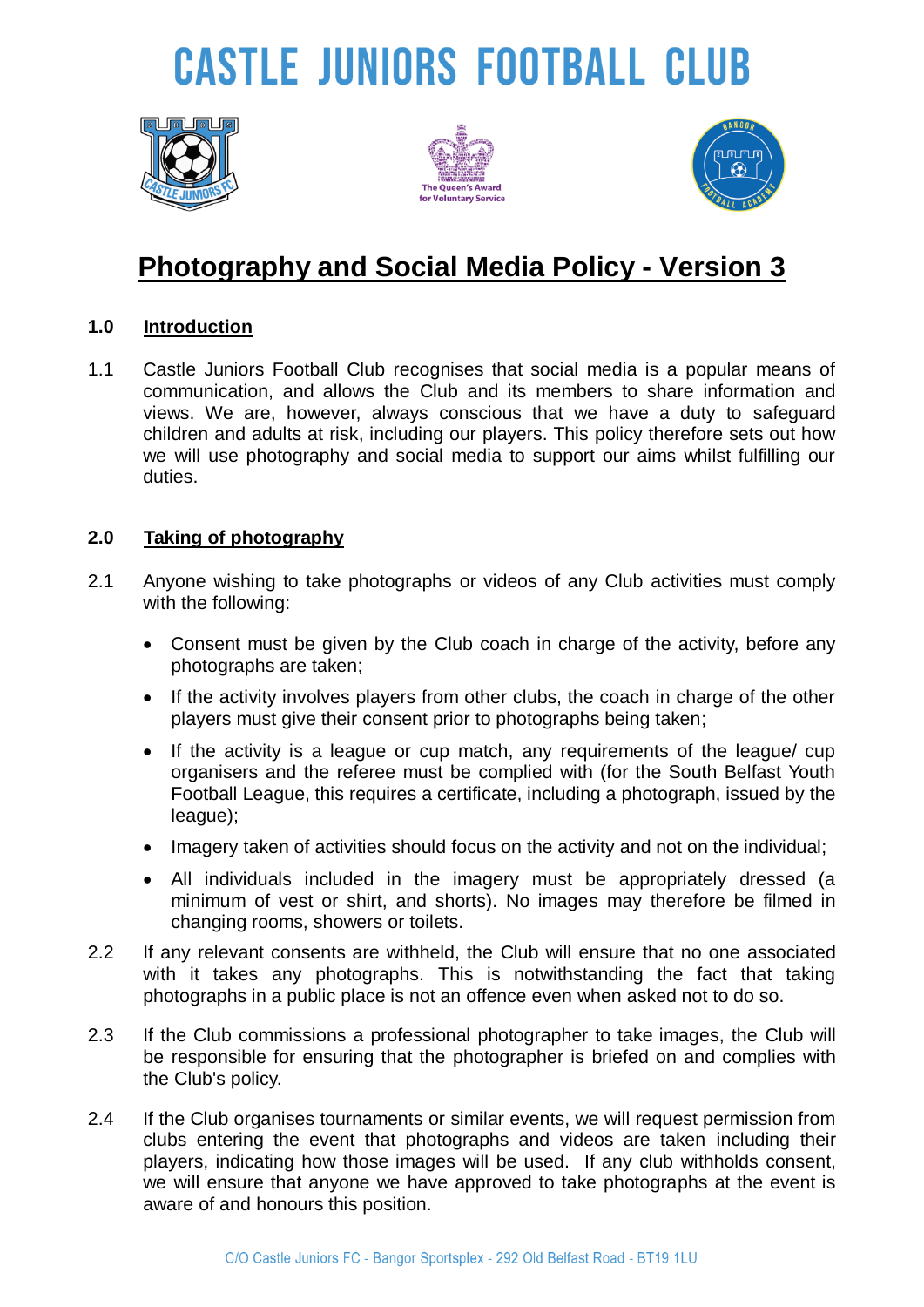# **CASTLE JUNIORS FOOTBALL CLUB**







### **Photography and Social Media Policy - Version 3**

#### **1.0 Introduction**

1.1 Castle Juniors Football Club recognises that social media is a popular means of communication, and allows the Club and its members to share information and views. We are, however, always conscious that we have a duty to safeguard children and adults at risk, including our players. This policy therefore sets out how we will use photography and social media to support our aims whilst fulfilling our duties.

#### **2.0 Taking of photography**

- 2.1 Anyone wishing to take photographs or videos of any Club activities must comply with the following:
	- Consent must be given by the Club coach in charge of the activity, before any photographs are taken;
	- If the activity involves players from other clubs, the coach in charge of the other players must give their consent prior to photographs being taken;
	- If the activity is a league or cup match, any requirements of the league/ cup organisers and the referee must be complied with (for the South Belfast Youth Football League, this requires a certificate, including a photograph, issued by the league);
	- Imagery taken of activities should focus on the activity and not on the individual;
	- All individuals included in the imagery must be appropriately dressed (a minimum of vest or shirt, and shorts). No images may therefore be filmed in changing rooms, showers or toilets.
- 2.2 If any relevant consents are withheld, the Club will ensure that no one associated with it takes any photographs. This is notwithstanding the fact that taking photographs in a public place is not an offence even when asked not to do so.
- 2.3 If the Club commissions a professional photographer to take images, the Club will be responsible for ensuring that the photographer is briefed on and complies with the Club's policy.
- 2.4 If the Club organises tournaments or similar events, we will request permission from clubs entering the event that photographs and videos are taken including their players, indicating how those images will be used. If any club withholds consent, we will ensure that anyone we have approved to take photographs at the event is aware of and honours this position.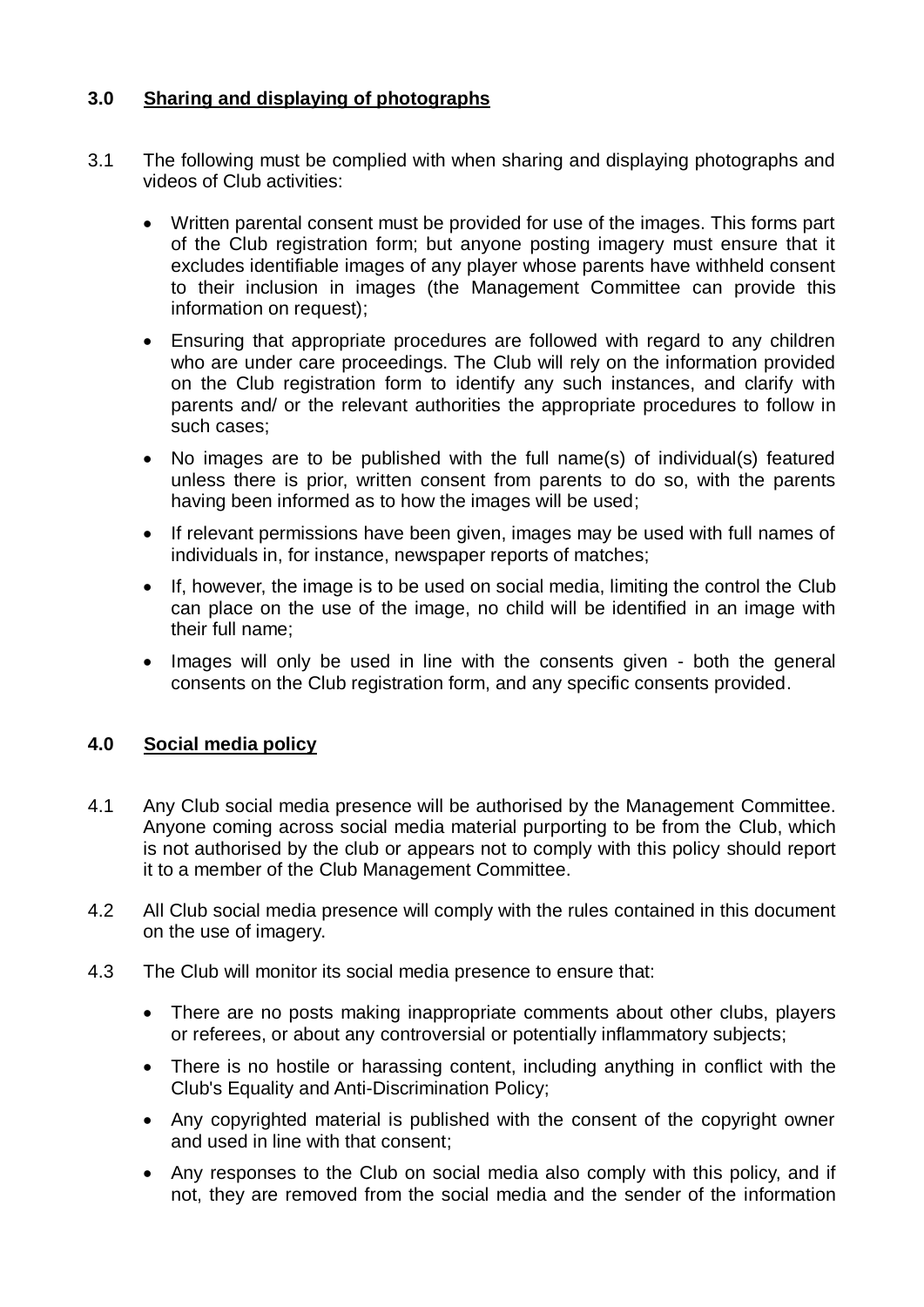#### **3.0 Sharing and displaying of photographs**

- 3.1 The following must be complied with when sharing and displaying photographs and videos of Club activities:
	- Written parental consent must be provided for use of the images. This forms part of the Club registration form; but anyone posting imagery must ensure that it excludes identifiable images of any player whose parents have withheld consent to their inclusion in images (the Management Committee can provide this information on request);
	- Ensuring that appropriate procedures are followed with regard to any children who are under care proceedings. The Club will rely on the information provided on the Club registration form to identify any such instances, and clarify with parents and/ or the relevant authorities the appropriate procedures to follow in such cases;
	- No images are to be published with the full name(s) of individual(s) featured unless there is prior, written consent from parents to do so, with the parents having been informed as to how the images will be used;
	- If relevant permissions have been given, images may be used with full names of individuals in, for instance, newspaper reports of matches;
	- If, however, the image is to be used on social media, limiting the control the Club can place on the use of the image, no child will be identified in an image with their full name;
	- Images will only be used in line with the consents given both the general consents on the Club registration form, and any specific consents provided.

#### **4.0 Social media policy**

- 4.1 Any Club social media presence will be authorised by the Management Committee. Anyone coming across social media material purporting to be from the Club, which is not authorised by the club or appears not to comply with this policy should report it to a member of the Club Management Committee.
- 4.2 All Club social media presence will comply with the rules contained in this document on the use of imagery.
- 4.3 The Club will monitor its social media presence to ensure that:
	- There are no posts making inappropriate comments about other clubs, players or referees, or about any controversial or potentially inflammatory subjects;
	- There is no hostile or harassing content, including anything in conflict with the Club's Equality and Anti-Discrimination Policy;
	- Any copyrighted material is published with the consent of the copyright owner and used in line with that consent;
	- Any responses to the Club on social media also comply with this policy, and if not, they are removed from the social media and the sender of the information